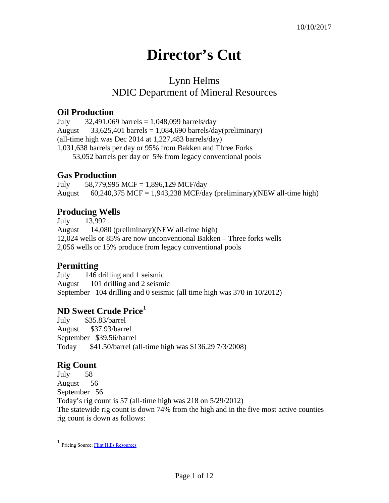# **Director's Cut**

## Lynn Helms NDIC Department of Mineral Resources

#### **Oil Production**

July  $32,491,069$  barrels  $= 1,048,099$  barrels/day August  $33,625,401$  barrels = 1,084,690 barrels/day(preliminary) (all-time high was Dec 2014 at 1,227,483 barrels/day) 1,031,638 barrels per day or 95% from Bakken and Three Forks 53,052 barrels per day or 5% from legacy conventional pools

### **Gas Production**

July 58,779,995 MCF = 1,896,129 MCF/day August 60,240,375 MCF = 1,943,238 MCF/day (preliminary)(NEW all-time high)

### **Producing Wells**

July 13,992 August 14,080 (preliminary)(NEW all-time high) 12,024 wells or 85% are now unconventional Bakken – Three forks wells 2,056 wells or 15% produce from legacy conventional pools

### **Permitting**

July 146 drilling and 1 seismic August 101 drilling and 2 seismic September 104 drilling and 0 seismic (all time high was 370 in 10/2012)

### **ND Sweet Crude Price[1](#page-0-0)**

July \$35.83/barrel August \$37.93/barrel September \$39.56/barrel Today \$41.50/barrel (all-time high was \$136.29 7/3/2008)

### **Rig Count**

July 58 August 56 September 56 Today's rig count is 57 (all-time high was 218 on 5/29/2012) The statewide rig count is down 74% from the high and in the five most active counties rig count is down as follows:

<span id="page-0-0"></span> $\frac{1}{1}$ Pricing Source[: Flint Hills Resources](http://www.fhr.com/refining/bulletins.aspx?AspxAutoDetectCookieSupport=1)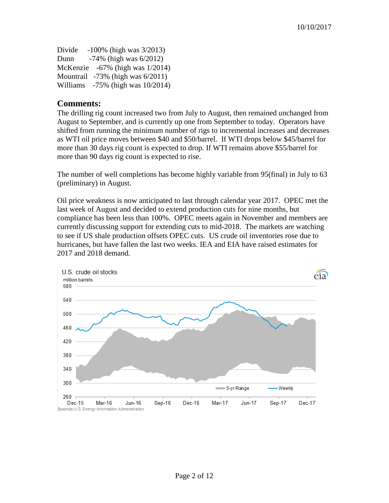Divide -100% (high was 3/2013) Dunn -74% (high was 6/2012) McKenzie -67% (high was 1/2014) Mountrail -73% (high was 6/2011) Williams -75% (high was 10/2014)

#### **Comments:**

The drilling rig count increased two from July to August, then remained unchanged from August to September, and is currently up one from September to today. Operators have shifted from running the minimum number of rigs to incremental increases and decreases as WTI oil price moves between \$40 and \$50/barrel. If WTI drops below \$45/barrel for more than 30 days rig count is expected to drop. If WTI remains above \$55/barrel for more than 90 days rig count is expected to rise.

The number of well completions has become highly variable from 95(final) in July to 63 (preliminary) in August.

Oil price weakness is now anticipated to last through calendar year 2017. OPEC met the last week of August and decided to extend production cuts for nine months, but compliance has been less than 100%. OPEC meets again in November and members are currently discussing support for extending cuts to mid-2018. The markets are watching to see if US shale production offsets OPEC cuts. US crude oil inventories rose due to hurricanes, but have fallen the last two weeks. IEA and EIA have raised estimates for 2017 and 2018 demand.

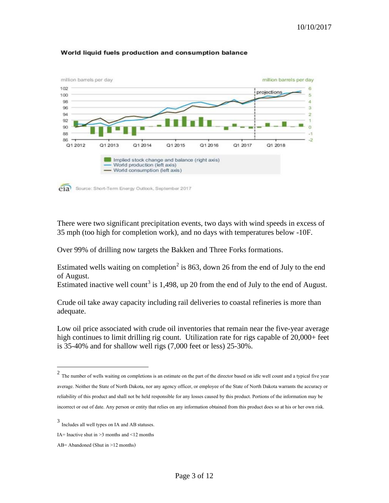

#### World liquid fuels production and consumption balance

There were two significant precipitation events, two days with wind speeds in excess of 35 mph (too high for completion work), and no days with temperatures below -10F.

Over 99% of drilling now targets the Bakken and Three Forks formations.

Estimated wells waiting on completion<sup>[2](#page-2-0)</sup> is 863, down 26 from the end of July to the end of August.

Estimated inactive well count<sup>[3](#page-2-1)</sup> is 1,498, up 20 from the end of July to the end of August.

Crude oil take away capacity including rail deliveries to coastal refineries is more than adequate.

Low oil price associated with crude oil inventories that remain near the five-year average high continues to limit drilling rig count. Utilization rate for rigs capable of 20,000+ feet is 35-40% and for shallow well rigs (7,000 feet or less) 25-30%.

<span id="page-2-0"></span><sup>&</sup>lt;sup>2</sup> The number of wells waiting on completions is an estimate on the part of the director based on idle well count and a typical five year average. Neither the State of North Dakota, nor any agency officer, or employee of the State of North Dakota warrants the accuracy or reliability of this product and shall not be held responsible for any losses caused by this product. Portions of the information may be incorrect or out of date. Any person or entity that relies on any information obtained from this product does so at his or her own risk.

<span id="page-2-1"></span><sup>3</sup> Includes all well types on IA and AB statuses.

IA= Inactive shut in  $\geq$ 3 months and  $\leq$ 12 months

AB= Abandoned (Shut in >12 months)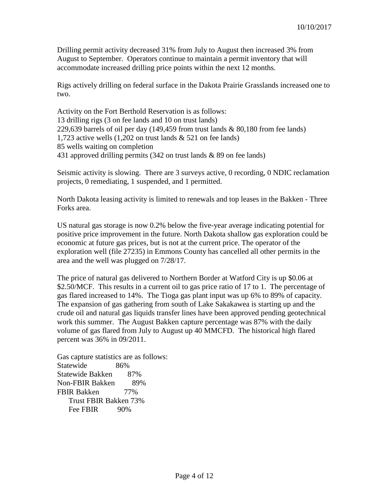Drilling permit activity decreased 31% from July to August then increased 3% from August to September. Operators continue to maintain a permit inventory that will accommodate increased drilling price points within the next 12 months.

Rigs actively drilling on federal surface in the Dakota Prairie Grasslands increased one to two.

Activity on the Fort Berthold Reservation is as follows: 13 drilling rigs (3 on fee lands and 10 on trust lands) 229,639 barrels of oil per day  $(149, 459$  from trust lands & 80,180 from fee lands) 1,723 active wells (1,202 on trust lands & 521 on fee lands) 85 wells waiting on completion 431 approved drilling permits (342 on trust lands & 89 on fee lands)

Seismic activity is slowing. There are 3 surveys active, 0 recording, 0 NDIC reclamation projects, 0 remediating, 1 suspended, and 1 permitted.

North Dakota leasing activity is limited to renewals and top leases in the Bakken - Three Forks area.

US natural gas storage is now 0.2% below the five-year average indicating potential for positive price improvement in the future. North Dakota shallow gas exploration could be economic at future gas prices, but is not at the current price. The operator of the exploration well (file 27235) in Emmons County has cancelled all other permits in the area and the well was plugged on 7/28/17.

The price of natural gas delivered to Northern Border at Watford City is up \$0.06 at \$2.50/MCF. This results in a current oil to gas price ratio of 17 to 1. The percentage of gas flared increased to 14%. The Tioga gas plant input was up 6% to 89% of capacity. The expansion of gas gathering from south of Lake Sakakawea is starting up and the crude oil and natural gas liquids transfer lines have been approved pending geotechnical work this summer. The August Bakken capture percentage was 87% with the daily volume of gas flared from July to August up 40 MMCFD. The historical high flared percent was 36% in 09/2011.

Gas capture statistics are as follows: Statewide 86% Statewide Bakken 87% Non-FBIR Bakken 89% FBIR Bakken 77% Trust FBIR Bakken 73% Fee FBIR 90%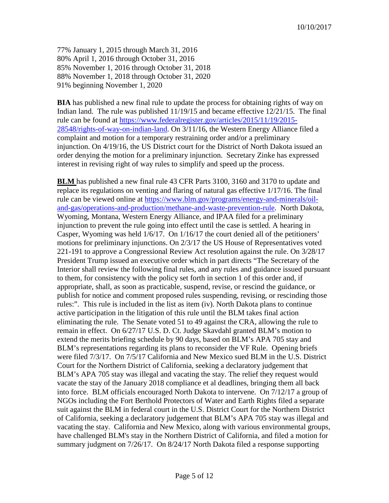77% January 1, 2015 through March 31, 2016 80% April 1, 2016 through October 31, 2016 85% November 1, 2016 through October 31, 2018 88% November 1, 2018 through October 31, 2020 91% beginning November 1, 2020

**BIA** has published a new final rule to update the process for obtaining rights of way on Indian land. The rule was published 11/19/15 and became effective 12/21/15. The final rule can be found at [https://www.federalregister.gov/articles/2015/11/19/2015-](https://www.federalregister.gov/articles/2015/11/19/2015-28548/rights-of-way-on-indian-land) [28548/rights-of-way-on-indian-land.](https://www.federalregister.gov/articles/2015/11/19/2015-28548/rights-of-way-on-indian-land) On 3/11/16, the Western Energy Alliance filed a complaint and motion for a temporary restraining order and/or a preliminary injunction. On 4/19/16, the US District court for the District of North Dakota issued an order denying the motion for a preliminary injunction. Secretary Zinke has expressed interest in revising right of way rules to simplify and speed up the process.

**BLM** has published a new final rule 43 CFR Parts 3100, 3160 and 3170 to update and replace its regulations on venting and flaring of natural gas effective 1/17/16. The final rule can be viewed online at [https://www.blm.gov/programs/energy-and-minerals/oil](https://www.blm.gov/programs/energy-and-minerals/oil-and-gas/operations-and-production/methane-and-waste-prevention-rule)[and-gas/operations-and-production/methane-and-waste-prevention-rule.](https://www.blm.gov/programs/energy-and-minerals/oil-and-gas/operations-and-production/methane-and-waste-prevention-rule) North Dakota, Wyoming, Montana, Western Energy Alliance, and IPAA filed for a preliminary injunction to prevent the rule going into effect until the case is settled. A hearing in Casper, Wyoming was held 1/6/17. On 1/16/17 the court denied all of the petitioners' motions for preliminary injunctions. On 2/3/17 the US House of Representatives voted 221-191 to approve a Congressional Review Act resolution against the rule. On 3/28/17 President Trump issued an executive order which in part directs "The Secretary of the Interior shall review the following final rules, and any rules and guidance issued pursuant to them, for consistency with the policy set forth in section 1 of this order and, if appropriate, shall, as soon as practicable, suspend, revise, or rescind the guidance, or publish for notice and comment proposed rules suspending, revising, or rescinding those rules:". This rule is included in the list as item (iv). North Dakota plans to continue active participation in the litigation of this rule until the BLM takes final action eliminating the rule. The Senate voted 51 to 49 against the CRA, allowing the rule to remain in effect. On 6/27/17 U.S. D. Ct. Judge Skavdahl granted BLM's motion to extend the merits briefing schedule by 90 days, based on BLM's APA 705 stay and BLM's representations regarding its plans to reconsider the VF Rule. Opening briefs were filed 7/3/17. On 7/5/17 California and New Mexico sued BLM in the U.S. District Court for the Northern District of California, seeking a declaratory judgement that BLM's APA 705 stay was illegal and vacating the stay. The relief they request would vacate the stay of the January 2018 compliance et al deadlines, bringing them all back into force. BLM officials encouraged North Dakota to intervene. On 7/12/17 a group of NGOs including the Fort Berthold Protectors of Water and Earth Rights filed a separate suit against the BLM in federal court in the U.S. District Court for the Northern District of California, seeking a declaratory judgement that BLM's APA 705 stay was illegal and vacating the stay. California and New Mexico, along with various environmental groups, have challenged BLM's stay in the Northern District of California, and filed a motion for summary judgment on 7/26/17. On 8/24/17 North Dakota filed a response supporting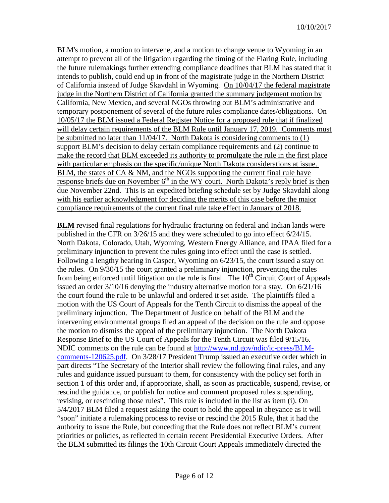BLM's motion, a motion to intervene, and a motion to change venue to Wyoming in an attempt to prevent all of the litigation regarding the timing of the Flaring Rule, including the future rulemakings further extending compliance deadlines that BLM has stated that it intends to publish, could end up in front of the magistrate judge in the Northern District of California instead of Judge Skavdahl in Wyoming. On 10/04/17 the federal magistrate judge in the Northern District of California granted the summary judgement motion by California, New Mexico, and several NGOs throwing out BLM's administrative and temporary postponement of several of the future rules compliance dates/obligations. On 10/05/17 the BLM issued a Federal Register Notice for a proposed rule that if finalized will delay certain requirements of the BLM Rule until January 17, 2019. Comments must be submitted no later than 11/04/17. North Dakota is considering comments to (1) support BLM's decision to delay certain compliance requirements and (2) continue to make the record that BLM exceeded its authority to promulgate the rule in the first place with particular emphasis on the specific/unique North Dakota considerations at issue. BLM, the states of CA & NM, and the NGOs supporting the current final rule have response briefs due on November  $6<sup>th</sup>$  in the WY court. North Dakota's reply brief is then due November 22nd. This is an expedited briefing schedule set by Judge Skavdahl along with his earlier acknowledgment for deciding the merits of this case before the major compliance requirements of the current final rule take effect in January of 2018.

**BLM** revised final regulations for hydraulic fracturing on federal and Indian lands were published in the CFR on 3/26/15 and they were scheduled to go into effect 6/24/15. North Dakota, Colorado, Utah, Wyoming, Western Energy Alliance, and IPAA filed for a preliminary injunction to prevent the rules going into effect until the case is settled. Following a lengthy hearing in Casper, Wyoming on 6/23/15, the court issued a stay on the rules. On 9/30/15 the court granted a preliminary injunction, preventing the rules from being enforced until litigation on the rule is final. The  $10<sup>th</sup>$  Circuit Court of Appeals issued an order 3/10/16 denying the industry alternative motion for a stay. On 6/21/16 the court found the rule to be unlawful and ordered it set aside. The plaintiffs filed a motion with the US Court of Appeals for the Tenth Circuit to dismiss the appeal of the preliminary injunction. The Department of Justice on behalf of the BLM and the intervening environmental groups filed an appeal of the decision on the rule and oppose the motion to dismiss the appeal of the preliminary injunction. The North Dakota Response Brief to the US Court of Appeals for the Tenth Circuit was filed 9/15/16. NDIC comments on the rule can be found at [http://www.nd.gov/ndic/ic-press/BLM](http://www.nd.gov/ndic/ic-press/BLM-comments-120625.pdf)[comments-120625.pdf.](http://www.nd.gov/ndic/ic-press/BLM-comments-120625.pdf) On 3/28/17 President Trump issued an executive order which in part directs "The Secretary of the Interior shall review the following final rules, and any rules and guidance issued pursuant to them, for consistency with the policy set forth in section 1 of this order and, if appropriate, shall, as soon as practicable, suspend, revise, or rescind the guidance, or publish for notice and comment proposed rules suspending, revising, or rescinding those rules". This rule is included in the list as item (i). On 5/4/2017 BLM filed a request asking the court to hold the appeal in abeyance as it will "soon" initiate a rulemaking process to revise or rescind the 2015 Rule, that it had the authority to issue the Rule, but conceding that the Rule does not reflect BLM's current priorities or policies, as reflected in certain recent Presidential Executive Orders. After the BLM submitted its filings the 10th Circuit Court Appeals immediately directed the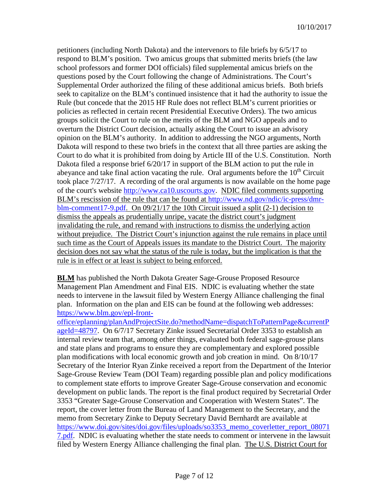petitioners (including North Dakota) and the intervenors to file briefs by 6/5/17 to respond to BLM's position. Two amicus groups that submitted merits briefs (the law school professors and former DOI officials) filed supplemental amicus briefs on the questions posed by the Court following the change of Administrations. The Court's Supplemental Order authorized the filing of these additional amicus briefs. Both briefs seek to capitalize on the BLM's continued insistence that it had the authority to issue the Rule (but concede that the 2015 HF Rule does not reflect BLM's current priorities or policies as reflected in certain recent Presidential Executive Orders). The two amicus groups solicit the Court to rule on the merits of the BLM and NGO appeals and to overturn the District Court decision, actually asking the Court to issue an advisory opinion on the BLM's authority. In addition to addressing the NGO arguments, North Dakota will respond to these two briefs in the context that all three parties are asking the Court to do what it is prohibited from doing by Article III of the U.S. Constitution. North Dakota filed a response brief 6/20/17 in support of the BLM action to put the rule in abeyance and take final action vacating the rule. Oral arguments before the  $10<sup>th</sup>$  Circuit took place 7/27/17. A recording of the oral arguments is now available on the home page of the court's website [http://www.ca10.uscourts.gov.](https://urldefense.proofpoint.com/v2/url?u=http-3A__www.ca10.uscourts.gov&d=DwMGaQ&c=2s2mvbfY0UoSKkl6_Ol9wg&r=-wqsZnBxny594KY8HeElow&m=Ul_VtJUX6iW5pvHjCcBxUWtskC0F4Dhry3sPtcEHvCw&s=laRHiLDv5w8otcQWQjpn82WMieoB2AZ-Q4M1LFQPL5s&e=) NDIC filed comments supporting BLM's rescission of the rule that can be found at [http://www.nd.gov/ndic/ic-press/dmr](http://www.nd.gov/ndic/ic-press/dmr-blm-comment17-9.pdf)[blm-comment17-9.pdf.](http://www.nd.gov/ndic/ic-press/dmr-blm-comment17-9.pdf) On 09/21/17 the 10th Circuit issued a split (2-1) decision to dismiss the appeals as prudentially unripe, vacate the district court's judgment invalidating the rule, and remand with instructions to dismiss the underlying action without prejudice. The District Court's injunction against the rule remains in place until such time as the Court of Appeals issues its mandate to the District Court. The majority decision does not say what the status of the rule is today, but the implication is that the rule is in effect or at least is subject to being enforced.

**BLM** has published the North Dakota Greater Sage-Grouse Proposed Resource Management Plan Amendment and Final EIS. NDIC is evaluating whether the state needs to intervene in the lawsuit filed by Western Energy Alliance challenging the final plan. Information on the plan and EIS can be found at the following web addresses: [https://www.blm.gov/epl-front-](https://www.blm.gov/epl-front-office/eplanning/planAndProjectSite.do?methodName=dispatchToPatternPage¤tPageId=48797)

[office/eplanning/planAndProjectSite.do?methodName=dispatchToPatternPage&currentP](https://www.blm.gov/epl-front-office/eplanning/planAndProjectSite.do?methodName=dispatchToPatternPage¤tPageId=48797) [ageId=48797.](https://www.blm.gov/epl-front-office/eplanning/planAndProjectSite.do?methodName=dispatchToPatternPage¤tPageId=48797) On 6/7/17 Secretary Zinke issued Secretarial Order 3353 to establish an internal review team that, among other things, evaluated both federal sage-grouse plans and state plans and programs to ensure they are complementary and explored possible plan modifications with local economic growth and job creation in mind. On 8/10/17 Secretary of the Interior Ryan Zinke received a report from the Department of the Interior Sage-Grouse Review Team (DOI Team) regarding possible plan and policy modifications to complement state efforts to improve Greater Sage-Grouse conservation and economic development on public lands. The report is the final product required by Secretarial Order 3353 "Greater Sage-Grouse Conservation and Cooperation with Western States". The report, the cover letter from the Bureau of Land Management to the Secretary, and the memo from Secretary Zinke to Deputy Secretary David Bernhardt are available at [https://www.doi.gov/sites/doi.gov/files/uploads/so3353\\_memo\\_coverletter\\_report\\_08071](https://www.doi.gov/sites/doi.gov/files/uploads/so3353_memo_coverletter_report_080717.pdf) [7.pdf.](https://www.doi.gov/sites/doi.gov/files/uploads/so3353_memo_coverletter_report_080717.pdf) NDIC is evaluating whether the state needs to comment or intervene in the lawsuit filed by Western Energy Alliance challenging the final plan. The U.S. District Court for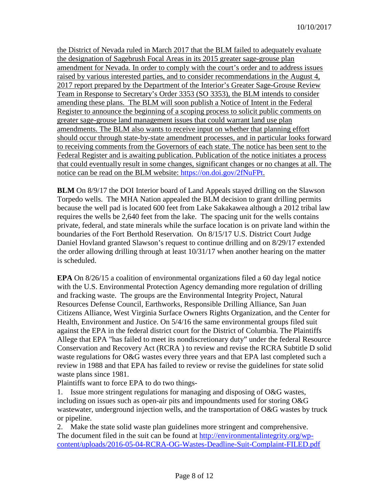the District of Nevada ruled in March 2017 that the BLM failed to adequately evaluate the designation of Sagebrush Focal Areas in its 2015 greater sage-grouse plan amendment for Nevada. In order to comply with the court's order and to address issues raised by various interested parties, and to consider recommendations in the August 4, 2017 report prepared by the Department of the Interior's Greater Sage-Grouse Review Team in Response to Secretary's Order 3353 (SO 3353), the BLM intends to consider amending these plans. The BLM will soon publish a Notice of Intent in the Federal Register to announce the beginning of a scoping process to solicit public comments on greater sage-grouse land management issues that could warrant land use plan amendments. The BLM also wants to receive input on whether that planning effort should occur through state-by-state amendment processes, and in particular looks forward to receiving comments from the Governors of each state. The notice has been sent to the Federal Register and is awaiting publication. Publication of the notice initiates a process that could eventually result in some changes, significant changes or no changes at all. The notice can be read on the BLM website: [https://on.doi.gov/2fNuFPt.](https://on.doi.gov/2fNuFPt)

**BLM** On 8/9/17 the DOI Interior board of Land Appeals stayed drilling on the Slawson Torpedo wells. The MHA Nation appealed the BLM decision to grant drilling permits because the well pad is located 600 feet from Lake Sakakawea although a 2012 tribal law requires the wells be 2,640 feet from the lake. The spacing unit for the wells contains private, federal, and state minerals while the surface location is on private land within the boundaries of the Fort Berthold Reservation. On 8/15/17 U.S. District Court Judge Daniel Hovland granted Slawson's request to continue drilling and on 8/29/17 extended the order allowing drilling through at least 10/31/17 when another hearing on the matter is scheduled.

**EPA** On 8/26/15 a coalition of environmental organizations filed a 60 day legal notice with the U.S. Environmental Protection Agency demanding more regulation of drilling and fracking waste. The groups are the Environmental Integrity Project, Natural Resources Defense Council, Earthworks, Responsible Drilling Alliance, San Juan Citizens Alliance, West Virginia Surface Owners Rights Organization, and the Center for Health, Environment and Justice. On 5/4/16 the same environmental groups filed suit against the EPA in the federal district court for the District of Columbia. The Plaintiffs Allege that EPA "has failed to meet its nondiscretionary duty" under the federal Resource Conservation and Recovery Act (RCRA ) to review and revise the RCRA Subtitle D solid waste regulations for O&G wastes every three years and that EPA last completed such a review in 1988 and that EPA has failed to review or revise the guidelines for state solid waste plans since 1981.

Plaintiffs want to force EPA to do two things-

1. Issue more stringent regulations for managing and disposing of O&G wastes, including on issues such as open-air pits and impoundments used for storing O&G wastewater, underground injection wells, and the transportation of O&G wastes by truck or pipeline.

2. Make the state solid waste plan guidelines more stringent and comprehensive. The document filed in the suit can be found at [http://environmentalintegrity.org/wp](http://environmentalintegrity.org/wp-content/uploads/2016-05-04-RCRA-OG-Wastes-Deadline-Suit-Complaint-FILED.pdf)[content/uploads/2016-05-04-RCRA-OG-Wastes-Deadline-Suit-Complaint-FILED.pdf](http://environmentalintegrity.org/wp-content/uploads/2016-05-04-RCRA-OG-Wastes-Deadline-Suit-Complaint-FILED.pdf)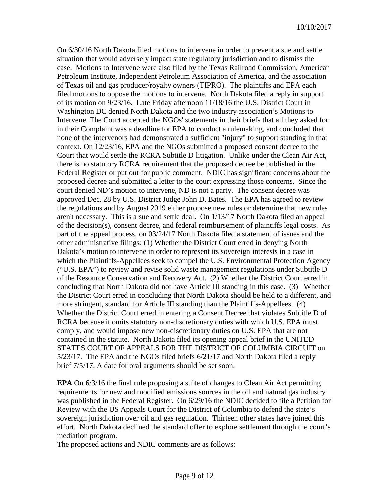On 6/30/16 North Dakota filed motions to intervene in order to prevent a sue and settle situation that would adversely impact state regulatory jurisdiction and to dismiss the case. Motions to Intervene were also filed by the Texas Railroad Commission, American Petroleum Institute, Independent Petroleum Association of America, and the association of Texas oil and gas producer/royalty owners (TIPRO). The plaintiffs and EPA each filed motions to oppose the motions to intervene. North Dakota filed a reply in support of its motion on 9/23/16. Late Friday afternoon 11/18/16 the U.S. District Court in Washington DC denied North Dakota and the two industry association's Motions to Intervene. The Court accepted the NGOs' statements in their briefs that all they asked for in their Complaint was a deadline for EPA to conduct a rulemaking, and concluded that none of the intervenors had demonstrated a sufficient "injury" to support standing in that context. On 12/23/16, EPA and the NGOs submitted a proposed consent decree to the Court that would settle the RCRA Subtitle D litigation. Unlike under the Clean Air Act, there is no statutory RCRA requirement that the proposed decree be published in the Federal Register or put out for public comment. NDIC has significant concerns about the proposed decree and submitted a letter to the court expressing those concerns. Since the court denied ND's motion to intervene, ND is not a party. The consent decree was approved Dec. 28 by U.S. District Judge John D. Bates. The EPA has agreed to review the regulations and by August 2019 either propose new rules or determine that new rules aren't necessary. This is a sue and settle deal. On 1/13/17 North Dakota filed an appeal of the decision(s), consent decree, and federal reimbursement of plaintiffs legal costs. As part of the appeal process, on 03/24/17 North Dakota filed a statement of issues and the other administrative filings: (1) Whether the District Court erred in denying North Dakota's motion to intervene in order to represent its sovereign interests in a case in which the Plaintiffs-Appellees seek to compel the U.S. Environmental Protection Agency ("U.S. EPA") to review and revise solid waste management regulations under Subtitle D of the Resource Conservation and Recovery Act. (2) Whether the District Court erred in concluding that North Dakota did not have Article III standing in this case. (3) Whether the District Court erred in concluding that North Dakota should be held to a different, and more stringent, standard for Article III standing than the Plaintiffs-Appellees. (4) Whether the District Court erred in entering a Consent Decree that violates Subtitle D of RCRA because it omits statutory non-discretionary duties with which U.S. EPA must comply, and would impose new non-discretionary duties on U.S. EPA that are not contained in the statute. North Dakota filed its opening appeal brief in the UNITED STATES COURT OF APPEALS FOR THE DISTRICT OF COLUMBIA CIRCUIT on 5/23/17. The EPA and the NGOs filed briefs 6/21/17 and North Dakota filed a reply brief 7/5/17. A date for oral arguments should be set soon.

**EPA** On 6/3/16 the final rule proposing a suite of changes to Clean Air Act permitting requirements for new and modified emissions sources in the oil and natural gas industry was published in the Federal Register. On 6/29/16 the NDIC decided to file a Petition for Review with the US Appeals Court for the District of Columbia to defend the state's sovereign jurisdiction over oil and gas regulation. Thirteen other states have joined this effort. North Dakota declined the standard offer to explore settlement through the court's mediation program.

The proposed actions and NDIC comments are as follows: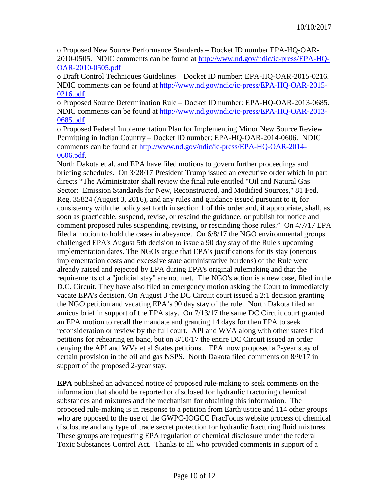o Proposed New Source Performance Standards – Docket ID number EPA-HQ-OAR-2010-0505. NDIC comments can be found at [http://www.nd.gov/ndic/ic-press/EPA-HQ-](http://www.nd.gov/ndic/ic-press/EPA-HQ-OAR-2010-0505.pdf)[OAR-2010-0505.pdf](http://www.nd.gov/ndic/ic-press/EPA-HQ-OAR-2010-0505.pdf)

o Draft Control Techniques Guidelines – Docket ID number: EPA-HQ-OAR-2015-0216. NDIC comments can be found at [http://www.nd.gov/ndic/ic-press/EPA-HQ-OAR-2015-](http://www.nd.gov/ndic/ic-press/EPA-HQ-OAR-2015-0216.pdf) [0216.pdf](http://www.nd.gov/ndic/ic-press/EPA-HQ-OAR-2015-0216.pdf)

o Proposed Source Determination Rule – Docket ID number: EPA-HQ-OAR-2013-0685. NDIC comments can be found at [http://www.nd.gov/ndic/ic-press/EPA-HQ-OAR-2013-](http://www.nd.gov/ndic/ic-press/EPA-HQ-OAR-2013-0685.pdf) [0685.pdf](http://www.nd.gov/ndic/ic-press/EPA-HQ-OAR-2013-0685.pdf)

o Proposed Federal Implementation Plan for Implementing Minor New Source Review Permitting in Indian Country – Docket ID number: EPA-HQ-OAR-2014-0606. NDIC comments can be found at [http://www.nd.gov/ndic/ic-press/EPA-HQ-OAR-2014-](http://www.nd.gov/ndic/ic-press/EPA-HQ-OAR-2014-0606.pdf) [0606.pdf.](http://www.nd.gov/ndic/ic-press/EPA-HQ-OAR-2014-0606.pdf)

North Dakota et al. and EPA have filed motions to govern further proceedings and briefing schedules. On 3/28/17 President Trump issued an executive order which in part directs "The Administrator shall review the final rule entitled "Oil and Natural Gas Sector: Emission Standards for New, Reconstructed, and Modified Sources," 81 Fed. Reg. 35824 (August 3, 2016), and any rules and guidance issued pursuant to it, for consistency with the policy set forth in section 1 of this order and, if appropriate, shall, as soon as practicable, suspend, revise, or rescind the guidance, or publish for notice and comment proposed rules suspending, revising, or rescinding those rules." On 4/7/17 EPA filed a motion to hold the cases in abeyance. On 6/8/17 the NGO environmental groups challenged EPA's August 5th decision to issue a 90 day stay of the Rule's upcoming implementation dates. The NGOs argue that EPA's justifications for its stay (onerous implementation costs and excessive state administrative burdens) of the Rule were already raised and rejected by EPA during EPA's original rulemaking and that the requirements of a "judicial stay" are not met. The NGO's action is a new case, filed in the D.C. Circuit. They have also filed an emergency motion asking the Court to immediately vacate EPA's decision. On August 3 the DC Circuit court issued a 2:1 decision granting the NGO petition and vacating EPA's 90 day stay of the rule. North Dakota filed an amicus brief in support of the EPA stay. On 7/13/17 the same DC Circuit court granted an EPA motion to recall the mandate and granting 14 days for then EPA to seek reconsideration or review by the full court. API and WVA along with other states filed petitions for rehearing en banc, but on 8/10/17 the entire DC Circuit issued an order denying the API and WVa et al States petitions. EPA now proposed a 2-year stay of certain provision in the oil and gas NSPS. North Dakota filed comments on 8/9/17 in support of the proposed 2-year stay.

**EPA** published an advanced notice of proposed rule-making to seek comments on the information that should be reported or disclosed for hydraulic fracturing chemical substances and mixtures and the mechanism for obtaining this information. The proposed rule-making is in response to a petition from Earthjustice and 114 other groups who are opposed to the use of the GWPC-IOGCC FracFocus website process of chemical disclosure and any type of trade secret protection for hydraulic fracturing fluid mixtures. These groups are requesting EPA regulation of chemical disclosure under the federal Toxic Substances Control Act. Thanks to all who provided comments in support of a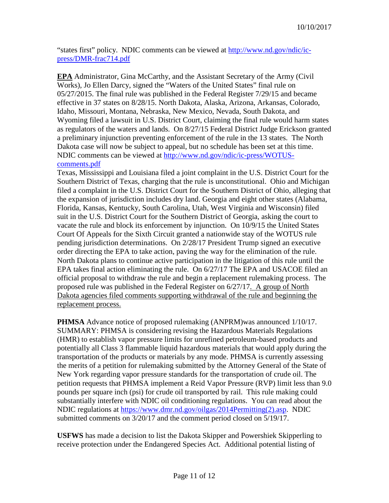"states first" policy. NDIC comments can be viewed at [http://www.nd.gov/ndic/ic](http://www.nd.gov/ndic/ic-press/DMR-frac714.pdf)[press/DMR-frac714.pdf](http://www.nd.gov/ndic/ic-press/DMR-frac714.pdf)

**EPA** Administrator, Gina McCarthy, and the Assistant Secretary of the Army (Civil Works), Jo Ellen Darcy, signed the "Waters of the United States" final rule on 05/27/2015. The final rule was published in the Federal Register 7/29/15 and became effective in 37 states on 8/28/15. North Dakota, Alaska, Arizona, Arkansas, Colorado, Idaho, Missouri, Montana, Nebraska, New Mexico, Nevada, South Dakota, and Wyoming filed a lawsuit in U.S. District Court, claiming the final rule would harm states as regulators of the waters and lands. On 8/27/15 Federal District Judge Erickson granted a preliminary injunction preventing enforcement of the rule in the 13 states. The North Dakota case will now be subject to appeal, but no schedule has been set at this time. NDIC comments can be viewed at [http://www.nd.gov/ndic/ic-press/WOTUS](http://www.nd.gov/ndic/ic-press/WOTUS-comments.pdf)[comments.pdf](http://www.nd.gov/ndic/ic-press/WOTUS-comments.pdf)

Texas, Mississippi and Louisiana filed a joint complaint in the U.S. District Court for the Southern District of Texas, charging that the rule is unconstitutional. Ohio and Michigan filed a complaint in the U.S. District Court for the Southern District of Ohio, alleging that the expansion of jurisdiction includes dry land. Georgia and eight other states (Alabama, Florida, Kansas, Kentucky, South Carolina, Utah, West Virginia and Wisconsin) filed suit in the U.S. District Court for the Southern District of Georgia, asking the court to vacate the rule and block its enforcement by injunction. On 10/9/15 the United States Court Of Appeals for the Sixth Circuit granted a nationwide stay of the WOTUS rule pending jurisdiction determinations. On 2/28/17 President Trump signed an executive order directing the EPA to take action, paving the way for the elimination of the rule. North Dakota plans to continue active participation in the litigation of this rule until the EPA takes final action eliminating the rule. On 6/27/17 The EPA and USACOE filed an official proposal to withdraw the rule and begin a replacement rulemaking process. The proposed rule was published in the Federal Register on 6/27/17. A group of North Dakota agencies filed comments supporting withdrawal of the rule and beginning the replacement process.

**PHMSA** Advance notice of proposed rulemaking (ANPRM)was announced  $1/10/17$ . SUMMARY: PHMSA is considering revising the Hazardous Materials Regulations (HMR) to establish vapor pressure limits for unrefined petroleum-based products and potentially all Class 3 flammable liquid hazardous materials that would apply during the transportation of the products or materials by any mode. PHMSA is currently assessing the merits of a petition for rulemaking submitted by the Attorney General of the State of New York regarding vapor pressure standards for the transportation of crude oil. The petition requests that PHMSA implement a Reid Vapor Pressure (RVP) limit less than 9.0 pounds per square inch (psi) for crude oil transported by rail. This rule making could substantially interfere with NDIC oil conditioning regulations. You can read about the NDIC regulations at [https://www.dmr.nd.gov/oilgas/2014Permitting\(2\).asp.](https://www.dmr.nd.gov/oilgas/2014Permitting(2).asp) NDIC submitted comments on 3/20/17 and the comment period closed on 5/19/17.

**USFWS** has made a decision to list the Dakota Skipper and Powershiek Skipperling to receive protection under the Endangered Species Act. Additional potential listing of